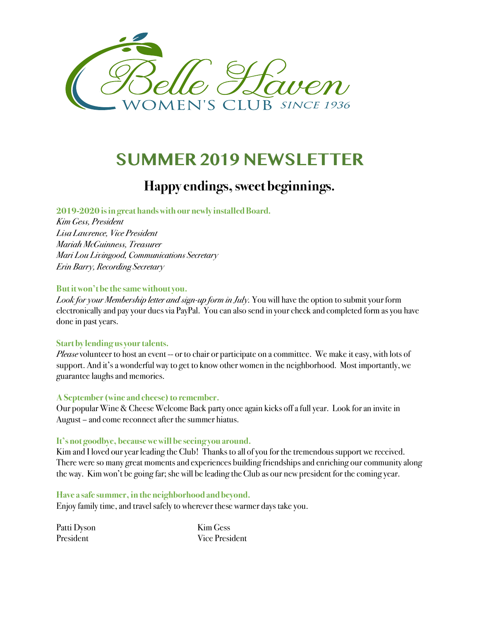

# **SUMMER 2019 NEWSLETTER**

### **Happy endings, sweet beginnings.**

**2019-2020 is in great hands with our newly installedBoard.**

*Kim Gess, President Lisa Lawrence, Vice President Mariah McGuinness, Treasurer Mari Lou Livingood, Communications Secretary Erin Barry, Recording Secretary* 

#### **But it won't be the same without you.**

*Look for your Membership letter and sign-up form in July.* You will have the option to submit your form electronically and pay your dues via PayPal. You can also send in your check and completed form as you have done in past years.

#### **Start by lending usyour talents.**

*Please* volunteer to host an event -- or to chair or participate on a committee. We make it easy, with lots of support. And it's a wonderful way to get to know other women in the neighborhood. Most importantly, we guarantee laughs and memories.

#### **A September (wine and cheese) to remember.**

Our popular Wine & Cheese Welcome Back party once again kicks off a full year. Look for an invite in August – and come reconnect after the summer hiatus.

#### **It's not goodbye, because we will be seeing you around.**

Kim and I loved our year leading the Club! Thanks to all of you for the tremendous support we received. There were so many great moments and experiences building friendships and enriching our community along the way. Kim won't be going far;she will be leading the Club as our new president for the coming year.

#### **Have a safe summer, in the neighborhood and beyond.**

Enjoy family time, and travel safely to wherever these warmer days take you.

Patti Dyson Kim Gess President Vice President